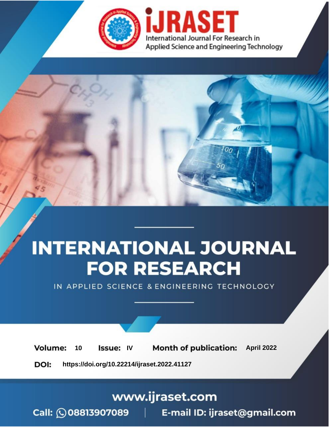

# **INTERNATIONAL JOURNAL FOR RESEARCH**

IN APPLIED SCIENCE & ENGINEERING TECHNOLOGY

Volume: 10 **Issue: IV Month of publication:** April 2022

**https://doi.org/10.22214/ijraset.2022.41127**DOI:

www.ijraset.com

Call: 008813907089 | E-mail ID: ijraset@gmail.com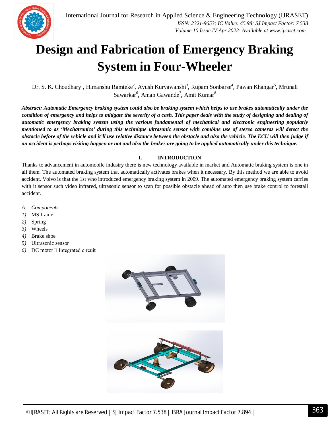

### **Design and Fabrication of Emergency Braking System in Four-Wheeler**

Dr. S. K. Choudhary<sup>1</sup>, Himanshu Ramteke<sup>2</sup>, Ayush Kuryawanshi<sup>3</sup>, Rupam Sonbarse<sup>4</sup>, Pawan Khangar<sup>5</sup>, Mrunali Sawarkar<sup>6</sup>, Aman Gawande<sup>7</sup>, Amit Kumar<sup>8</sup>

*Abstract: Automatic Emergency braking system could also be braking system which helps to use brakes automatically under the condition of emergency and helps to mitigate the severity of a cash. This paper deals with the study of designing and dealing of automatic emergency braking system using the various fundamental of mechanical and electronic engineering popularly mentioned to as 'Mechatronics' during this technique ultrasonic sensor with combine use of stereo cameras will detect the obstacle before of the vehicle and it'll use relative distance between the obstacle and also the vehicle. The ECU will then judge if an accident is perhaps visiting happen or not and also the brakes are going to be applied automatically under this technique.*

#### **I. INTRODUCTION**

Thanks to advancement in automobile industry there is new technology available in market and Automatic braking system is one in all them. The automated braking system that automatically activates brakes when it necessary. By this method we are able to avoid accident. Volvo is that the 1st who introduced emergency braking system in 2009. The automated emergency braking system carries with it sensor such video infrared, ultrasonic sensor to scan for possible obstacle ahead of auto then use brake control to forestall accident.

- *A. Components*
- *1)* MS frame
- *2)* Spring
- *3)* Wheels
- *4)* Brake shoe
- *5)* Ultrasonic sensor
- *6*) DC motor□ Integrated circuit

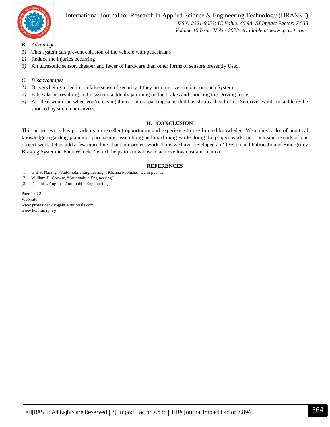

#### International Journal for Research in Applied Science & Engineering Technology (IJRASET**)**

 *ISSN: 2321-9653; IC Value: 45.98; SJ Impact Factor: 7.538 Volume 10 Issue IV Apr 2022- Available at www.ijraset.com*

- *B. Advantages*
- *1)* This system can prevent collision of the vehicle with pedestrians
- *2)* Reduce the injuries occurring
- *3)* An ultrasonic sensor, cheaper and fewer of hardware than other forms of sensors presently Used.
- *C. Disadvantages*
- *1)* Drivers being lulled into a false sense of security if they become over- reliant on such System.
- *2)* False alarms resulting in the system suddenly jamming on the brakes and shocking the Driving force.
- *3)* As ideal would be when you're easing the car into a parking zone that has shrubs ahead of it. No driver wants to suddenly be shocked by such manoeuvres.

#### **II. CONCLUSION**

This project work has provide us an excellent opportunity and experience to use limited knowledge. We gained a lot of practical knowledge regarding planning, purchasing, assembling and machining while doing the project work. In conclusion remark of our project work, let us add a few more line about our project work. Thus we have developed an ' Design and Fabrication of Emergency Braking System in Four-Wheeler' which helps to know how to achieve low cost automation.

#### **REFERENCES**

- [1] G.B.S. Narang, "Automobile Engineering", Khanna Publisher, Delhi pp671.
- [2] William H. Crowse, "Automobile Engineering".
- [3] Donald L Anglin, "Automobile Engineering".

Page 1 of 2 Web-site www.profe.udec.cV-gabriel/tutorials.com www.hwysatety.org